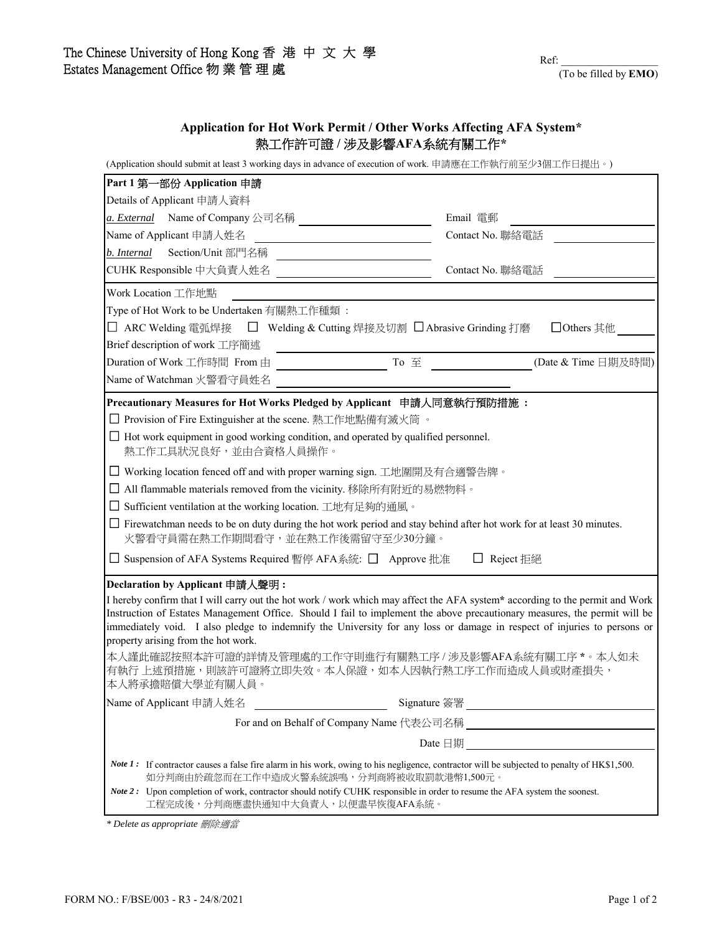## **Application for Hot Work Permit / Other Works Affecting AFA System\*** 熱工作許可證 **/** 涉及影響**AFA**系統有關工作**\***

(Application should submit at least 3 working days in advance of execution of work. 申請應在工作執行前至少3個工作日提出。)

| Part 1 第一部份 Application 申請                                                                                                                                                                                                                                                                                                                                                                                                                                                                                                                                                                      |                                                      |
|-------------------------------------------------------------------------------------------------------------------------------------------------------------------------------------------------------------------------------------------------------------------------------------------------------------------------------------------------------------------------------------------------------------------------------------------------------------------------------------------------------------------------------------------------------------------------------------------------|------------------------------------------------------|
| Details of Applicant 申請人資料                                                                                                                                                                                                                                                                                                                                                                                                                                                                                                                                                                      |                                                      |
| a. <i>External</i> Name of Company 公司名稱                                                                                                                                                                                                                                                                                                                                                                                                                                                                                                                                                         | Email 電郵                                             |
| Name of Applicant 申請人姓名                                                                                                                                                                                                                                                                                                                                                                                                                                                                                                                                                                         | Contact No. 聯絡電話                                     |
| Section/Unit 部門名稱<br>b. Internal                                                                                                                                                                                                                                                                                                                                                                                                                                                                                                                                                                |                                                      |
| CUHK Responsible 中大負責人姓名                                                                                                                                                                                                                                                                                                                                                                                                                                                                                                                                                                        | Contact No. 聯絡電話                                     |
| Work Location 工作地點                                                                                                                                                                                                                                                                                                                                                                                                                                                                                                                                                                              |                                                      |
| Type of Hot Work to be Undertaken 有關熱工作種類:                                                                                                                                                                                                                                                                                                                                                                                                                                                                                                                                                      |                                                      |
| □ ARC Welding 電弧焊接  □ Welding & Cutting 焊接及切割 □ Abrasive Grinding 打磨                                                                                                                                                                                                                                                                                                                                                                                                                                                                                                                            | □ Others 其他                                          |
| Brief description of work 工序簡述                                                                                                                                                                                                                                                                                                                                                                                                                                                                                                                                                                  |                                                      |
| Duration of Work 工作時間 From 由<br>To 至<br><u>a sa mga salawang mga sangang ng mga sangang ng mga sangang ng mga sangang ng mga sangang ng mga sangang ng mga sangang ng mga sangang ng mga sangang ng mga sangang ng mga sangang ng mga sangang ng mga sangang ng mga sang</u>                                                                                                                                                                                                                                                                                                                    | (Date & Time 日期及時間)                                  |
| Name of Watchman 火警看守員姓名                                                                                                                                                                                                                                                                                                                                                                                                                                                                                                                                                                        |                                                      |
| Precautionary Measures for Hot Works Pledged by Applicant 申請人同意執行預防措施:                                                                                                                                                                                                                                                                                                                                                                                                                                                                                                                          |                                                      |
| □ Provision of Fire Extinguisher at the scene. 熱工作地點備有滅火筒 。                                                                                                                                                                                                                                                                                                                                                                                                                                                                                                                                     |                                                      |
| $\Box$ Hot work equipment in good working condition, and operated by qualified personnel.<br>熱工作工具狀況良好,並由合資格人員操作。                                                                                                                                                                                                                                                                                                                                                                                                                                                                               |                                                      |
| □ Working location fenced off and with proper warning sign. 工地圍開及有合適警告牌。                                                                                                                                                                                                                                                                                                                                                                                                                                                                                                                        |                                                      |
| All flammable materials removed from the vicinity. 移除所有附近的易燃物料。                                                                                                                                                                                                                                                                                                                                                                                                                                                                                                                                 |                                                      |
| □ Sufficient ventilation at the working location. 工地有足夠的通風。                                                                                                                                                                                                                                                                                                                                                                                                                                                                                                                                     |                                                      |
| $\Box$ Firewatchman needs to be on duty during the hot work period and stay behind after hot work for at least 30 minutes.<br>火警看守員需在熱工作期間看守,並在熱工作後需留守至少30分鐘。                                                                                                                                                                                                                                                                                                                                                                                                                                   |                                                      |
| □ Suspension of AFA Systems Required 暫停 AFA系統: □ Approve 批准                                                                                                                                                                                                                                                                                                                                                                                                                                                                                                                                     | □ Reject 拒絕                                          |
| Declaration by Applicant 申請人聲明:<br>I hereby confirm that I will carry out the hot work / work which may affect the AFA system* according to the permit and Work<br>Instruction of Estates Management Office. Should I fail to implement the above precautionary measures, the permit will be<br>immediately void. I also pledge to indemnify the University for any loss or damage in respect of injuries to persons or<br>property arising from the hot work.<br>本人謹此確認按照本許可證的詳情及管理處的工作守則進行有關熱工序 / 涉及影響AFA系統有關工序 *。本人如未<br>有執行 上述預措施,則該許可證將立即失效。本人保證,如本人因執行熱工序工作而造成人員或財產損失,<br>本人將承擔賠償大學並有關人員。 |                                                      |
| Name of Applicant 申請人姓名                                                                                                                                                                                                                                                                                                                                                                                                                                                                                                                                                                         |                                                      |
|                                                                                                                                                                                                                                                                                                                                                                                                                                                                                                                                                                                                 | For and on Behalf of Company Name 代表公司名稱<br><u> </u> |
|                                                                                                                                                                                                                                                                                                                                                                                                                                                                                                                                                                                                 | Date $\Box$ #                                        |
| Note 1: If contractor causes a false fire alarm in his work, owing to his negligence, contractor will be subjected to penalty of HK\$1,500.<br>如分判商由於疏忽而在工作中造成火警系統誤鳴,分判商將被收取罰款港幣1,500元。                                                                                                                                                                                                                                                                                                                                                                                                         |                                                      |
| Note 2 : Upon completion of work, contractor should notify CUHK responsible in order to resume the AFA system the soonest.<br>工程完成後,分判商應盡快通知中大負責人,以便盡早恢復AFA系統。                                                                                                                                                                                                                                                                                                                                                                                                                                  |                                                      |

*\* Delete as appropriate* 刪除適當